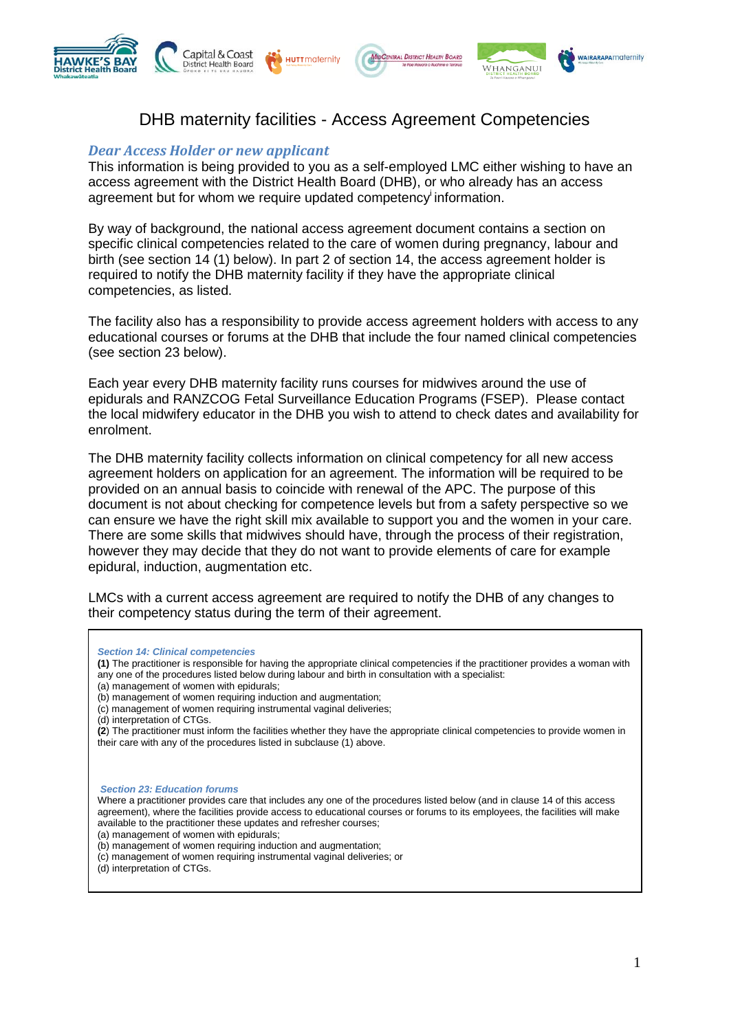



## DHB maternity facilities - Access Agreement Competencies

## *Dear Access Holder or new applicant*

This information is being provided to you as a self-employed LMC either wishing to have an access agreement with the District Health Board (DHB), or who already has an access agreement but for whom we require updated competency<sup>i</sup> information.

By way of background, the national access agreement document contains a section on specific clinical competencies related to the care of women during pregnancy, labour and birth (see section 14 (1) below). In part 2 of section 14, the access agreement holder is required to notify the DHB maternity facility if they have the appropriate clinical competencies, as listed.

The facility also has a responsibility to provide access agreement holders with access to any educational courses or forums at the DHB that include the four named clinical competencies (see section 23 below).

Each year every DHB maternity facility runs courses for midwives around the use of epidurals and RANZCOG Fetal Surveillance Education Programs (FSEP). Please contact the local midwifery educator in the DHB you wish to attend to check dates and availability for enrolment.

The DHB maternity facility collects information on clinical competency for all new access agreement holders on application for an agreement. The information will be required to be provided on an annual basis to coincide with renewal of the APC. The purpose of this document is not about checking for competence levels but from a safety perspective so we can ensure we have the right skill mix available to support you and the women in your care. There are some skills that midwives should have, through the process of their registration, however they may decide that they do not want to provide elements of care for example epidural, induction, augmentation etc.

LMCs with a current access agreement are required to notify the DHB of any changes to their competency status during the term of their agreement.

**(1)** The practitioner is responsible for having the appropriate clinical competencies if the practitioner provides a woman with any one of the procedures listed below during labour and birth in consultation with a specialist:

- (a) management of women with epidurals;
- (b) management of women requiring induction and augmentation;
- (c) management of women requiring instrumental vaginal deliveries;
- (d) interpretation of CTGs.

**(2**) The practitioner must inform the facilities whether they have the appropriate clinical competencies to provide women in their care with any of the procedures listed in subclause (1) above.

*Section 23: Education forums*

Where a practitioner provides care that includes any one of the procedures listed below (and in clause 14 of this access agreement), where the facilities provide access to educational courses or forums to its employees, the facilities will make available to the practitioner these updates and refresher courses;

(a) management of women with epidurals;

(b) management of women requiring induction and augmentation;

- (c) management of women requiring instrumental vaginal deliveries; or
- (d) interpretation of CTGs.

*Section 14: Clinical competencies*